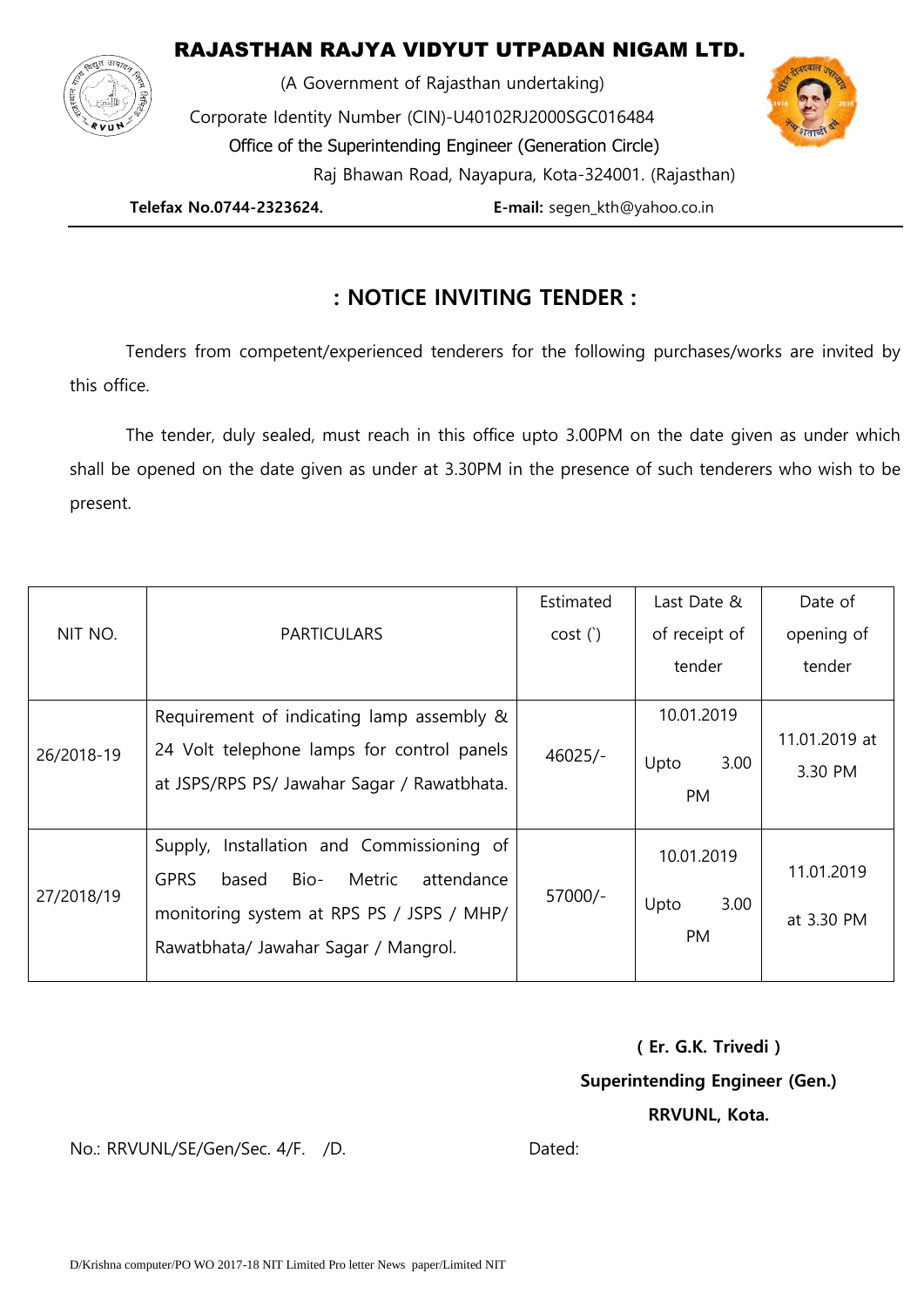## RAJASTHAN RAJYA VIDYUT UTPADAN NIGAM LTD.



 (A Government of Rajasthan undertaking) Corporate Identity Number (CIN)-U40102RJ2000SGC016484 Office of the Superintending Engineer (Generation Circle) Raj Bhawan Road, Nayapura, Kota-324001. (Rajasthan)

 **Telefax No.0744-2323624. E-mail:** segen\_kth@yahoo.co.in

## **: NOTICE INVITING TENDER :**

Tenders from competent/experienced tenderers for the following purchases/works are invited by this office.

The tender, duly sealed, must reach in this office upto 3.00PM on the date given as under which shall be opened on the date given as under at 3.30PM in the presence of such tenderers who wish to be present.

| NIT NO.    | <b>PARTICULARS</b>                                                                                                                                                                        | Estimated | Last Date &                      | Date of                  |
|------------|-------------------------------------------------------------------------------------------------------------------------------------------------------------------------------------------|-----------|----------------------------------|--------------------------|
|            |                                                                                                                                                                                           | cost(     | of receipt of                    | opening of               |
|            |                                                                                                                                                                                           |           | tender                           | tender                   |
| 26/2018-19 | Requirement of indicating lamp assembly &<br>24 Volt telephone lamps for control panels<br>at JSPS/RPS PS/ Jawahar Sagar / Rawatbhata.                                                    | $46025/-$ | 10.01.2019<br>Upto<br>3.00<br>PM | 11.01.2019 at<br>3.30 PM |
| 27/2018/19 | Installation and Commissioning of<br>Supply,<br><b>GPRS</b><br>Bio-<br>Metric<br>attendance<br>based<br>monitoring system at RPS PS / JSPS / MHP/<br>Rawatbhata/ Jawahar Sagar / Mangrol. | 57000/-   | 10.01.2019<br>3.00<br>Upto<br>PM | 11.01.2019<br>at 3.30 PM |

**( Er. G.K. Trivedi ) Superintending Engineer (Gen.) RRVUNL, Kota.** 

No.: RRVUNL/SE/Gen/Sec. 4/F. /D. Dated: